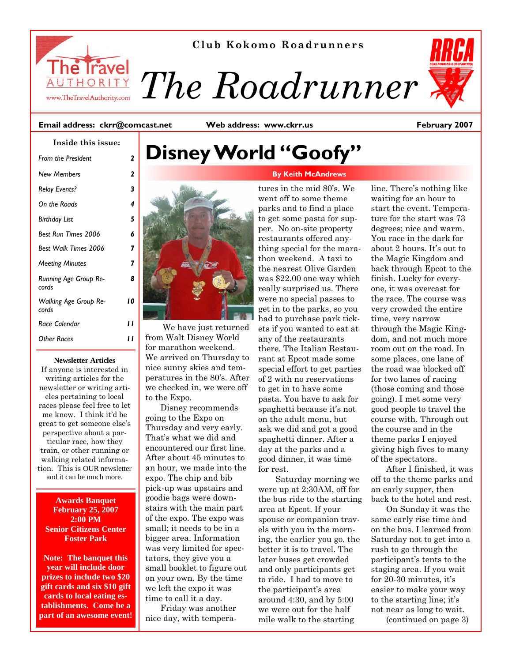

**Club Kokomo Roadrunners** 

*The Roadrunner* 

#### **Email address: ckrr@comcast.net**

**Web address: www.ckrr.us** 

**February 2007** 

| Inside this issue:                    |              |
|---------------------------------------|--------------|
| <b>From the President</b>             | $\mathbf{2}$ |
| <b>New Members</b>                    | $\mathbf{2}$ |
| <b>Relay Events?</b>                  | 3            |
| On the Roads                          | 4            |
| <b>Birthday List</b>                  | 5            |
| Best Run Times 2006                   | h            |
| <b>Best Walk Times 2006</b>           | 7            |
| <b>Meeting Minutes</b>                | 7            |
| <b>Running Age Group Re-</b><br>cords | 8            |
| <b>Walking Age Group Re-</b><br>cords | 10           |
| Race Calendar                         | ,,           |
| Other Races                           |              |

#### **Newsletter Articles**

If anyone is interested in writing articles for the newsletter or writing articles pertaining to local races please feel free to let me know. I think it'd be great to get someone else's perspective about a particular race, how they train, or other running or walking related information. This is OUR newsletter and it can be much more.

#### **Awards Banquet February 25, 2007 2:00 PM Senior Citizens Center Foster Park**

**Note: The banquet this year will include door prizes to include two \$20 gift cards and six \$10 gift cards to local eating establishments. Come be a part of an awesome event!** 

## **Disney World "Goofy"**

# tures in the mid 80's. We

 We have just returned from Walt Disney World for marathon weekend. We arrived on Thursday to nice sunny skies and temperatures in the 80's. After we checked in, we were off to the Expo.

Disney recommends going to the Expo on Thursday and very early. That's what we did and encountered our first line. After about 45 minutes to an hour, we made into the expo. The chip and bib pick-up was upstairs and goodie bags were downstairs with the main part of the expo. The expo was small; it needs to be in a bigger area. Information was very limited for spectators, they give you a small booklet to figure out on your own. By the time we left the expo it was time to call it a day.

Friday was another nice day, with temperawent off to some theme parks and to find a place to get some pasta for supper. No on-site property restaurants offered anything special for the marathon weekend. A taxi to the nearest Olive Garden was \$22.00 one way which really surprised us. There were no special passes to get in to the parks, so you had to purchase park tickets if you wanted to eat at any of the restaurants there. The Italian Restaurant at Epcot made some special effort to get parties of 2 with no reservations to get in to have some pasta. You have to ask for spaghetti because it's not on the adult menu, but ask we did and got a good spaghetti dinner. After a day at the parks and a good dinner, it was time for rest. Saturday morning we

were up at 2:30AM, off for the bus ride to the starting area at Epcot. If your spouse or companion travels with you in the morning, the earlier you go, the better it is to travel. The later buses get crowded and only participants get to ride. I had to move to the participant's area around 4:30, and by 5:00 we were out for the half mile walk to the starting

line. There's nothing like waiting for an hour to start the event. Temperature for the start was 73 degrees; nice and warm. You race in the dark for about 2 hours. It's out to the Magic Kingdom and back through Epcot to the finish. Lucky for everyone, it was overcast for the race. The course was very crowded the entire time, very narrow through the Magic Kingdom, and not much more room out on the road. In some places, one lane of the road was blocked off for two lanes of racing (those coming and those going). I met some very good people to travel the course with. Through out the course and in the theme parks I enjoyed giving high fives to many of the spectators.

After I finished, it was off to the theme parks and an early supper, then back to the hotel and rest.

On Sunday it was the same early rise time and on the bus. I learned from Saturday not to get into a rush to go through the participant's tents to the staging area. If you wait for 20-30 minutes, it's easier to make your way to the starting line; it's not near as long to wait. (continued on page 3)

#### **By Keith McAndrews**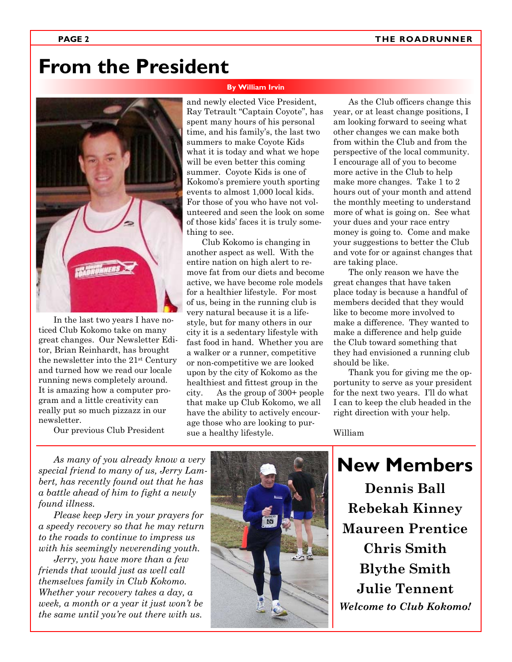## **From the President**

#### **By William Irvin**



In the last two years I have noticed Club Kokomo take on many great changes. Our Newsletter Editor, Brian Reinhardt, has brought the newsletter into the 21st Century and turned how we read our locale running news completely around. It is amazing how a computer program and a little creativity can really put so much pizzazz in our newsletter.

Our previous Club President

and newly elected Vice President, Ray Tetrault "Captain Coyote", has spent many hours of his personal time, and his family's, the last two summers to make Coyote Kids what it is today and what we hope will be even better this coming summer. Coyote Kids is one of Kokomo's premiere youth sporting events to almost 1,000 local kids. For those of you who have not volunteered and seen the look on some of those kids' faces it is truly something to see.

Club Kokomo is changing in another aspect as well. With the entire nation on high alert to remove fat from our diets and become active, we have become role models for a healthier lifestyle. For most of us, being in the running club is very natural because it is a lifestyle, but for many others in our city it is a sedentary lifestyle with fast food in hand. Whether you are a walker or a runner, competitive or non-competitive we are looked upon by the city of Kokomo as the healthiest and fittest group in the city. As the group of 300+ people that make up Club Kokomo, we all have the ability to actively encourage those who are looking to pursue a healthy lifestyle.

As the Club officers change this year, or at least change positions, I am looking forward to seeing what other changes we can make both from within the Club and from the perspective of the local community. I encourage all of you to become more active in the Club to help make more changes. Take 1 to 2 hours out of your month and attend the monthly meeting to understand more of what is going on. See what your dues and your race entry money is going to. Come and make your suggestions to better the Club and vote for or against changes that are taking place.

The only reason we have the great changes that have taken place today is because a handful of members decided that they would like to become more involved to make a difference. They wanted to make a difference and help guide the Club toward something that they had envisioned a running club should be like.

Thank you for giving me the opportunity to serve as your president for the next two years. I'll do what I can to keep the club headed in the right direction with your help.

**New Members** 

William

*As many of you already know a very special friend to many of us, Jerry Lambert, has recently found out that he has a battle ahead of him to fight a newly found illness.* 

*Please keep Jery in your prayers for a speedy recovery so that he may return to the roads to continue to impress us with his seemingly neverending youth.* 

*Jerry, you have more than a few friends that would just as well call themselves family in Club Kokomo. Whether your recovery takes a day, a week, a month or a year it just won't be the same until you're out there with us.* 



**Dennis Ball Rebekah Kinney Maureen Prentice Chris Smith Blythe Smith Julie Tennent**  *Welcome to Club Kokomo!*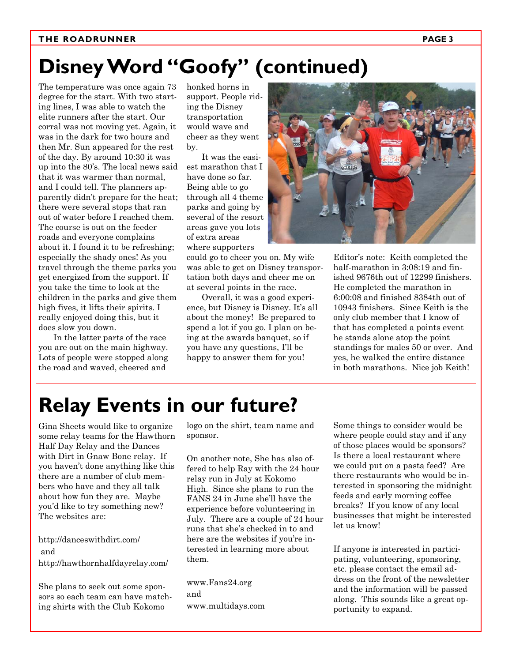#### **THE ROADRUNNER PAGE 3**

## **Disney Word "Goofy" (continued)**

The temperature was once again 73 degree for the start. With two starting lines, I was able to watch the elite runners after the start. Our corral was not moving yet. Again, it was in the dark for two hours and then Mr. Sun appeared for the rest of the day. By around 10:30 it was up into the 80's. The local news said that it was warmer than normal, and I could tell. The planners apparently didn't prepare for the heat; there were several stops that ran out of water before I reached them. The course is out on the feeder roads and everyone complains about it. I found it to be refreshing; especially the shady ones! As you travel through the theme parks you get energized from the support. If you take the time to look at the children in the parks and give them high fives, it lifts their spirits. I really enjoyed doing this, but it does slow you down.

In the latter parts of the race you are out on the main highway. Lots of people were stopped along the road and waved, cheered and

honked horns in support. People riding the Disney transportation would wave and cheer as they went by.

It was the easiest marathon that I have done so far. Being able to go through all 4 theme parks and going by several of the resort areas gave you lots of extra areas where supporters

could go to cheer you on. My wife was able to get on Disney transportation both days and cheer me on at several points in the race.

Overall, it was a good experience, but Disney is Disney. It's all about the money! Be prepared to spend a lot if you go. I plan on being at the awards banquet, so if you have any questions, I'll be happy to answer them for you!



Editor's note: Keith completed the half-marathon in 3:08:19 and finished 9676th out of 12299 finishers. He completed the marathon in 6:00:08 and finished 8384th out of 10943 finishers. Since Keith is the only club member that I know of that has completed a points event he stands alone atop the point standings for males 50 or over. And yes, he walked the entire distance in both marathons. Nice job Keith!

## **Relay Events in our future?**

Gina Sheets would like to organize some relay teams for the Hawthorn Half Day Relay and the Dances with Dirt in Gnaw Bone relay. If you haven't done anything like this there are a number of club members who have and they all talk about how fun they are. Maybe you'd like to try something new? The websites are:

http://danceswithdirt.com/ and http://hawthornhalfdayrelay.com/

She plans to seek out some sponsors so each team can have matching shirts with the Club Kokomo

logo on the shirt, team name and sponsor.

On another note, She has also offered to help Ray with the 24 hour relay run in July at Kokomo High. Since she plans to run the FANS 24 in June she'll have the experience before volunteering in July. There are a couple of 24 hour runs that she's checked in to and here are the websites if you're interested in learning more about them.

www.Fans24.org and www.multidays.com

Some things to consider would be where people could stay and if any of those places would be sponsors? Is there a local restaurant where we could put on a pasta feed? Are there restaurants who would be interested in sponsoring the midnight feeds and early morning coffee breaks? If you know of any local businesses that might be interested let us know!

If anyone is interested in participating, volunteering, sponsoring, etc. please contact the email address on the front of the newsletter and the information will be passed along. This sounds like a great opportunity to expand.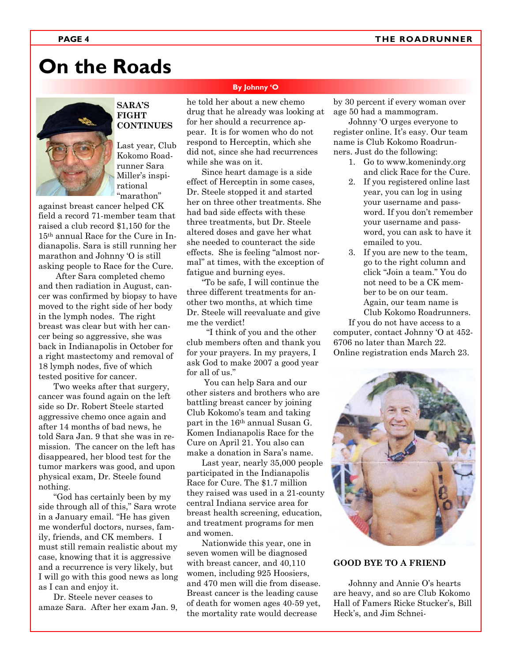## **On the Roads**



#### **SARA'S FIGHT CONTINUES**

Last year, Club Kokomo Roadrunner Sara Miller's inspirational "marathon"

against breast cancer helped CK field a record 71-member team that raised a club record \$1,150 for the 15th annual Race for the Cure in Indianapolis. Sara is still running her marathon and Johnny 'O is still asking people to Race for the Cure.

 After Sara completed chemo and then radiation in August, cancer was confirmed by biopsy to have moved to the right side of her body in the lymph nodes. The right breast was clear but with her cancer being so aggressive, she was back in Indianapolis in October for a right mastectomy and removal of 18 lymph nodes, five of which tested positive for cancer.

Two weeks after that surgery, cancer was found again on the left side so Dr. Robert Steele started aggressive chemo once again and after 14 months of bad news, he told Sara Jan. 9 that she was in remission. The cancer on the left has disappeared, her blood test for the tumor markers was good, and upon physical exam, Dr. Steele found nothing.

"God has certainly been by my side through all of this," Sara wrote in a January email. "He has given me wonderful doctors, nurses, family, friends, and CK members. I must still remain realistic about my case, knowing that it is aggressive and a recurrence is very likely, but I will go with this good news as long as I can and enjoy it.

Dr. Steele never ceases to amaze Sara. After her exam Jan. 9,

#### **By Johnny 'O**

he told her about a new chemo drug that he already was looking at for her should a recurrence appear. It is for women who do not respond to Herceptin, which she did not, since she had recurrences while she was on it.

Since heart damage is a side effect of Herceptin in some cases, Dr. Steele stopped it and started her on three other treatments. She had bad side effects with these three treatments, but Dr. Steele altered doses and gave her what she needed to counteract the side effects. She is feeling "almost normal" at times, with the exception of fatigue and burning eyes.

"To be safe, I will continue the three different treatments for another two months, at which time Dr. Steele will reevaluate and give me the verdict!

 "I think of you and the other club members often and thank you for your prayers. In my prayers, I ask God to make 2007 a good year for all of us."

 You can help Sara and our other sisters and brothers who are battling breast cancer by joining Club Kokomo's team and taking part in the 16th annual Susan G. Komen Indianapolis Race for the Cure on April 21. You also can make a donation in Sara's name.

Last year, nearly 35,000 people participated in the Indianapolis Race for Cure. The \$1.7 million they raised was used in a 21-county central Indiana service area for breast health screening, education, and treatment programs for men and women.

Nationwide this year, one in seven women will be diagnosed with breast cancer, and 40,110 women, including 925 Hoosiers, and 470 men will die from disease. Breast cancer is the leading cause of death for women ages 40-59 yet, the mortality rate would decrease

by 30 percent if every woman over age 50 had a mammogram.

Johnny 'O urges everyone to register online. It's easy. Our team name is Club Kokomo Roadrunners. Just do the following:

- 1. Go to www.komenindy.org and click Race for the Cure.
- 2. If you registered online last year, you can log in using your username and password. If you don't remember your username and password, you can ask to have it emailed to you.
- 3. If you are new to the team, go to the right column and click "Join a team." You do not need to be a CK member to be on our team. Again, our team name is Club Kokomo Roadrunners.

If you do not have access to a computer, contact Johnny 'O at 452- 6706 no later than March 22. Online registration ends March 23.



#### **GOOD BYE TO A FRIEND**

Johnny and Annie O's hearts are heavy, and so are Club Kokomo Hall of Famers Ricke Stucker's, Bill Heck's, and Jim Schnei-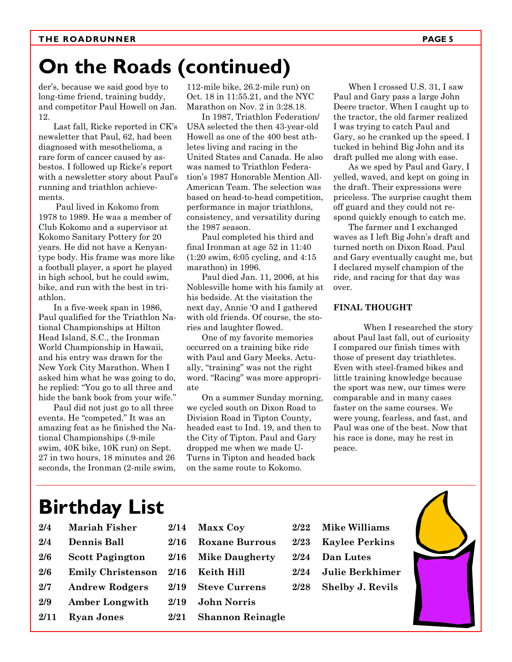## **On the Roads (continued)**

der's, because we said good bye to long-time friend, training buddy, and competitor Paul Howell on Jan. 12.

Last fall, Ricke reported in CK's newsletter that Paul, 62, had been diagnosed with mesothelioma, a rare form of cancer caused by asbestos. I followed up Ricke's report with a newsletter story about Paul's running and triathlon achievements.

 Paul lived in Kokomo from 1978 to 1989. He was a member of Club Kokomo and a supervisor at Kokomo Sanitary Pottery for 20 years. He did not have a Kenyantype body. His frame was more like a football player, a sport he played in high school, but he could swim, bike, and run with the best in triathlon.

In a five-week span in 1986, Paul qualified for the Triathlon National Championships at Hilton Head Island, S.C., the Ironman World Championship in Hawaii, and his entry was drawn for the New York City Marathon. When I asked him what he was going to do, he replied: "You go to all three and hide the bank book from your wife."

Paul did not just go to all three events. He "competed." It was an amazing feat as he finished the National Championships (.9-mile swim, 40K bike, 10K run) on Sept. 27 in two hours, 18 minutes and 26 seconds, the Ironman (2-mile swim,

112-mile bike, 26.2-mile run) on Oct. 18 in 11:55.21, and the NYC Marathon on Nov. 2 in 3:28.18.

In 1987, Triathlon Federation/ USA selected the then 43-year-old Howell as one of the 400 best athletes living and racing in the United States and Canada. He also was named to Triathlon Federation's 1987 Honorable Mention All-American Team. The selection was based on head-to-head competition, performance in major triathlons, consistency, and versatility during the 1987 season.

Paul completed his third and final Ironman at age 52 in 11:40 (1:20 swim, 6:05 cycling, and 4:15 marathon) in 1996.

Paul died Jan. 11, 2006, at his Noblesville home with his family at his bedside. At the visitation the next day, Annie 'O and I gathered with old friends. Of course, the stories and laughter flowed.

One of my favorite memories occurred on a training bike ride with Paul and Gary Meeks. Actually, "training" was not the right word. "Racing" was more appropriate

On a summer Sunday morning, we cycled south on Dixon Road to Division Road in Tipton County, headed east to Ind. 19, and then to the City of Tipton. Paul and Gary dropped me when we made U-Turns in Tipton and headed back on the same route to Kokomo.

When I crossed U.S. 31, I saw Paul and Gary pass a large John Deere tractor. When I caught up to the tractor, the old farmer realized I was trying to catch Paul and Gary, so he cranked up the speed. I tucked in behind Big John and its draft pulled me along with ease.

As we sped by Paul and Gary, I yelled, waved, and kept on going in the draft. Their expressions were priceless. The surprise caught them off guard and they could not respond quickly enough to catch me.

The farmer and I exchanged waves as I left Big John's draft and turned north on Dixon Road. Paul and Gary eventually caught me, but I declared myself champion of the ride, and racing for that day was over.

#### **FINAL THOUGHT**

When I researched the story about Paul last fall, out of curiosity I compared our finish times with those of present day triathletes. Even with steel-framed bikes and little training knowledge because the sport was new, our times were comparable and in many cases faster on the same courses. We were young, fearless, and fast, and Paul was one of the best. Now that his race is done, may he rest in peace.

## **Birthday List**

- **2/4 Mariah Fisher 2/4 Dennis Ball 2/6 Scott Pagington 2/6 Emily Christenson 2/7 Andrew Rodgers 2/9 Amber Longwith**
- **2/11 Ryan Jones**
- **2/14 Maxx Coy 2/16 Roxane Burrous 2/16 Mike Daugherty 2/16 Keith Hill 2/19 Steve Currens**
- **2/19 John Norris**
- **2/21 Shannon Reinagle**
- **2/22 Mike Williams**
- **2/23 Kaylee Perkins**
- **2/24 Dan Lutes**
- **2/24 Julie Berkhimer**
- **2/28 Shelby J. Revils**

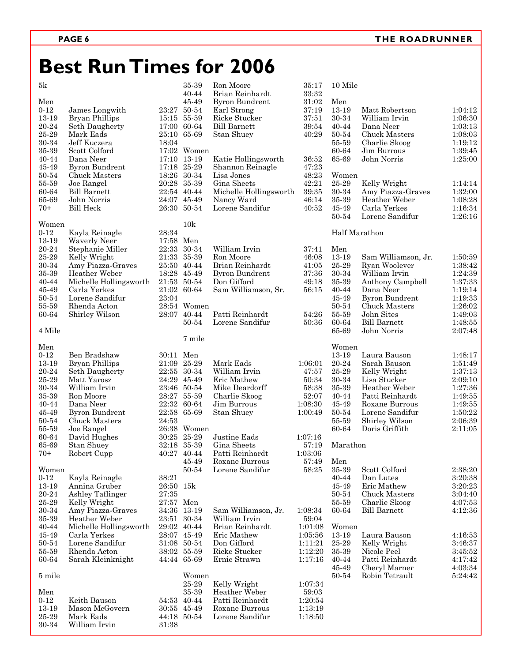## **Best Run Times for 2006**

| 5k             |                             |           | 35-39         | Ron Moore                         | 35:17   | 10 Mile        |                                 |         |
|----------------|-----------------------------|-----------|---------------|-----------------------------------|---------|----------------|---------------------------------|---------|
|                |                             |           | 40-44         | Brian Reinhardt                   | 33:32   |                |                                 |         |
| Men            |                             |           | 45-49         | <b>Byron Bundrent</b>             | 31:02   | Men            |                                 |         |
| $0 - 12$       | James Longwith              |           | 23:27 50-54   | Earl Strong                       | 37:19   | 13-19          | Matt Robertson                  | 1:04:12 |
| 13-19          | Bryan Phillips              |           | 15:15 55-59   | Ricke Stucker                     | 37:51   | 30-34          | William Irvin                   | 1:06:30 |
| 20-24          | Seth Daugherty              |           | 17:00 60-64   | <b>Bill Barnett</b>               | 39:54   | $40 - 44$      | Dana Neer                       | 1:03:13 |
| 25-29          | Mark Eads                   |           | 25:10 65-69   | <b>Stan Shuey</b>                 | 40:29   | 50-54          | Chuck Masters                   | 1:08:03 |
| 30-34          | Jeff Kuczera                | 18:04     |               |                                   |         | 55-59          | Charlie Skoog                   | 1:19:12 |
| 35-39          | Scott Colford               |           | 17:02 Women   |                                   |         | 60-64          | Jim Burrous                     | 1:39:45 |
| 40-44          | Dana Neer                   |           | 17:10 13-19   | Katie Hollingsworth               | 36:52   | 65-69          | John Norris                     | 1:25:00 |
| 45-49          | <b>Byron Bundrent</b>       |           | $17:18$ 25-29 | Shannon Reinagle                  | 47:23   |                |                                 |         |
| 50-54          | Chuck Masters               |           | 18:26 30-34   | Lisa Jones                        | 48:23   | Women          |                                 |         |
| 55-59          | Joe Rangel                  |           | 20:28 35-39   | Gina Sheets                       | 42:21   | 25-29          | Kelly Wright                    | 1:14:14 |
| 60-64          | <b>Bill Barnett</b>         |           | 22:54 40-44   | Michelle Hollingsworth            | 39:35   | 30-34          | Amy Piazza-Graves               | 1:32:00 |
| 65-69          | John Norris                 |           | 24:07 45-49   | Nancy Ward                        | 46:14   | 35-39<br>45-49 | Heather Weber                   | 1:08:28 |
| $70+$          | <b>Bill Heck</b>            |           | 26:30 50-54   | Lorene Sandifur                   | 40:52   | 50-54          | Carla Yerkes<br>Lorene Sandifur | 1:16:34 |
| Women          |                             |           | 10k           |                                   |         |                |                                 | 1:26:16 |
| $0 - 12$       | Kayla Reinagle              | 28:34     |               |                                   |         | Half Marathon  |                                 |         |
| 13-19          | <b>Waverly Neer</b>         | 17:58 Men |               |                                   |         |                |                                 |         |
| 20-24          | Stephanie Miller            |           | 22:33 30-34   | William Irvin                     | 37:41   | Men            |                                 |         |
| 25-29          | Kelly Wright                |           | 21:33 35-39   | Ron Moore                         | 46:08   | 13-19          | Sam Williamson, Jr.             | 1:50:59 |
| 30-34          | Amy Piazza-Graves           |           | 25:50 40-44   | Brian Reinhardt                   | 41:05   | 25-29          | Ryan Woolever                   | 1:38:42 |
| 35-39          | Heather Weber               |           | 18:28 45-49   | <b>Byron Bundrent</b>             | 37:36   | 30-34          | William Irvin                   | 1:24:39 |
| 40-44          | Michelle Hollingsworth      |           | 21:53 50-54   | Don Gifford                       | 49:18   | 35-39          | Anthony Campbell                | 1:37:33 |
| 45-49          | Carla Yerkes                |           | 21:02 60-64   | Sam Williamson, Sr.               | 56:15   | 40-44          | Dana Neer                       | 1:19:14 |
| 50-54          | Lorene Sandifur             | 23:04     |               |                                   |         | 45-49          | <b>Byron Bundrent</b>           | 1:19:33 |
| 55-59          | Rhenda Acton                |           | 28:54 Women   |                                   |         | 50-54          | Chuck Masters                   | 1:26:02 |
| 60-64          | Shirley Wilson              |           | 28:07 40-44   | Patti Reinhardt                   | 54:26   | 55-59          | John Sites                      | 1:49:03 |
|                |                             |           | 50-54         | Lorene Sandifur                   | 50:36   | 60-64          | <b>Bill Barnett</b>             | 1:48:55 |
| 4 Mile         |                             |           |               |                                   |         | 65-69          | John Norris                     | 2:07:48 |
|                |                             |           | 7 mile        |                                   |         |                |                                 |         |
| Men            |                             |           |               |                                   |         | Women          |                                 |         |
| $0 - 12$       | Ben Bradshaw                | 30:11 Men |               |                                   |         | 13-19          | Laura Bauson                    | 1:48:17 |
| 13-19          | Bryan Phillips              |           | 21:09 25-29   | Mark Eads                         | 1:06:01 | 20-24          | Sarah Bauson                    | 1:51:49 |
| 20-24          | Seth Daugherty              |           | 22:55 30-34   | William Irvin                     | 47:57   | 25-29          | Kelly Wright                    | 1:37:13 |
| 25-29          | Matt Yarosz                 |           | 24:29 45-49   | Eric Mathew                       | 50:34   | 30-34          | Lisa Stucker                    | 2:09:10 |
| 30-34          | William Irvin               |           | 23:46 50-54   | Mike Deardorff                    | 58:38   | 35-39          | Heather Weber                   | 1:27:36 |
| 35-39          | Ron Moore                   |           | 28:27 55-59   | Charlie Skoog                     | 52:07   | 40-44          | Patti Reinhardt                 | 1:49:55 |
| 40-44          | Dana Neer                   |           | 22:32 60-64   | Jim Burrous                       | 1:08:30 | 45-49          | Roxane Burrous                  | 1:49:55 |
| 45-49          | <b>Byron Bundrent</b>       |           | 22:58 65-69   | Stan Shuey                        | 1:00:49 | 50-54          | Lorene Sandifur                 | 1:50:22 |
| 50-54          | Chuck Masters               | 24:53     |               |                                   |         | 55-59          | Shirley Wilson                  | 2:06:39 |
| 55-59          | Joe Rangel                  |           | 26:38 Women   |                                   |         | 60-64          | Doris Griffith                  | 2:11:05 |
| 60-64          | David Hughes                |           | 30:25 25-29   | Justine Eads                      | 1:07:16 |                |                                 |         |
| 65-69          | Stan Shuey                  |           | 32:18 35-39   | Gina Sheets                       | 57:19   | Marathon       |                                 |         |
| $70+$          | Robert Cupp                 |           | 40:27 40-44   | Patti Reinhardt                   | 1:03:06 |                |                                 |         |
|                |                             |           | 45-49         | Roxane Burrous                    | 57:49   | Men            |                                 |         |
| Women          |                             |           | 50-54         | Lorene Sandifur                   | 58:25   | 35-39          | Scott Colford                   | 2:38:20 |
| $0 - 12$       | Kayla Reinagle              | 38:21     |               |                                   |         | 40-44          | Dan Lutes                       | 3:20:38 |
| 13-19          | Annina Gruber               | 26:50 15k |               |                                   |         | 45-49          | Eric Mathew                     | 3:20:23 |
| 20-24          | Ashley Taflinger            | 27:35     |               |                                   |         | 50-54          | Chuck Masters                   | 3:04:40 |
| 25-29          | Kelly Wright                | 27:57 Men |               |                                   |         | 55-59          | Charlie Skoog                   | 4:07:53 |
| $30 - 34$      | Amy Piazza-Graves           |           | 34:36 13-19   | Sam Williamson, Jr.               | 1:08:34 | 60-64          | <b>Bill Barnett</b>             | 4:12:36 |
| 35-39          | Heather Weber               |           | 23:51 30-34   | William Irvin                     | 59:04   |                |                                 |         |
| 40-44          | Michelle Hollingsworth      |           | 29:02 40-44   | Brian Reinhardt                   | 1:01:08 | Women          |                                 |         |
| 45-49          | Carla Yerkes                |           | 28:07 45-49   | Eric Mathew                       | 1:05:56 | 13-19          | Laura Bauson                    | 4:16:53 |
| 50-54          | Lorene Sandifur             |           | 31:08 50-54   | Don Gifford                       | 1:11:21 | 25-29          | Kelly Wright                    | 3:46:37 |
| 55-59          | Rhenda Acton                |           | 38:02 55-59   | Ricke Stucker                     | 1:12:20 | 35-39          | Nicole Peel                     | 3:45:52 |
| 60-64          | Sarah Kleinknight           |           | 44:44 65-69   | Ernie Strawn                      | 1:17:16 | 40-44          | Patti Reinhardt                 | 4:17:42 |
|                |                             |           |               |                                   |         | 45-49          | Cheryl Marner                   | 4:03:34 |
| 5 mile         |                             |           | Women         |                                   |         | 50-54          | Robin Tetrault                  | 5:24:42 |
|                |                             |           | 25-29         | Kelly Wright                      | 1:07:34 |                |                                 |         |
| Men            |                             |           | 35-39         | Heather Weber                     | 59:03   |                |                                 |         |
| $0 - 12$       | Keith Bauson                |           | 54:53 40-44   | Patti Reinhardt                   | 1:20:54 |                |                                 |         |
| 13-19<br>25-29 | Mason McGovern<br>Mark Eads |           | 30:55 45-49   | Roxane Burrous<br>Lorene Sandifur | 1:13:19 |                |                                 |         |
| 30-34          | William Irvin               | 31:38     | 44:18 50-54   |                                   | 1:18:50 |                |                                 |         |
|                |                             |           |               |                                   |         |                |                                 |         |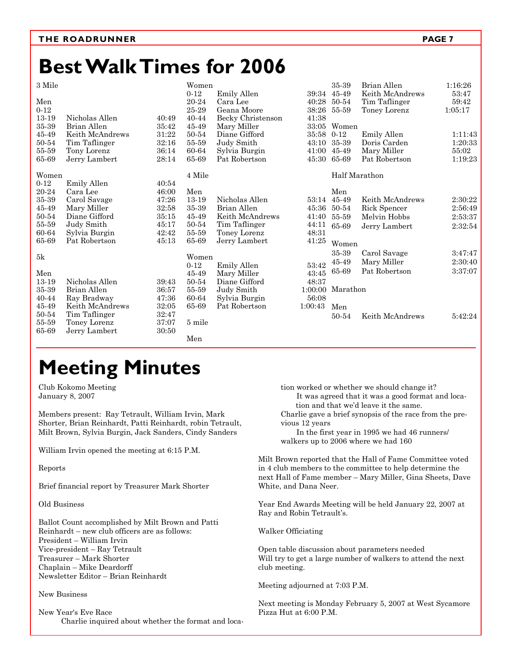## **Best Walk Times for 2006**

3 Mile

| 3 Mile         |                 |       | Women    |                   |                   | 35-39              | Brian Allen     | 1:16:26 |
|----------------|-----------------|-------|----------|-------------------|-------------------|--------------------|-----------------|---------|
|                |                 |       | $0 - 12$ | Emily Allen       |                   | 39:34 45-49        | Keith McAndrews | 53:47   |
| Men            |                 |       | 20-24    | Cara Lee          | 40:28             | 50-54              | Tim Taflinger   | 59:42   |
| $0 - 12$       |                 |       | 25-29    | Geana Moore       | 38:26             | 55-59              | Toney Lorenz    | 1:05:17 |
| 13-19          | Nicholas Allen  | 40:49 | 40-44    | Becky Christenson | 41:38             |                    |                 |         |
| 35-39          | Brian Allen     | 35:42 | 45-49    | Mary Miller       | 33:05             | Women              |                 |         |
| 45-49          | Keith McAndrews | 31:22 | 50-54    | Diane Gifford     | 35:58             | $0 - 12$           | Emily Allen     | 1:11:43 |
| 50-54          | Tim Taflinger   | 32:16 | 55-59    | Judy Smith        | 43:10             | 35-39              | Doris Carden    | 1:20:33 |
| 55-59          | Tony Lorenz     | 36:14 | 60-64    | Sylvia Burgin     | 41:00             | 45-49              | Mary Miller     | 55:02   |
| 65-69          | Jerry Lambert   | 28:14 | 65-69    | Pat Robertson     | 45:30             | 65-69              | Pat Robertson   | 1:19:23 |
| Women          |                 |       | 4 Mile   |                   |                   | Half Marathon      |                 |         |
| $0 - 12$       | Emily Allen     | 40:54 |          |                   |                   |                    |                 |         |
| 20-24          | Cara Lee        | 46:00 | Men      |                   |                   | Men                |                 |         |
| 35-39          | Carol Savage    | 47:26 | 13-19    | Nicholas Allen    |                   | 53:14 45-49        | Keith McAndrews | 2:30:22 |
| 45-49          | Mary Miller     | 32:58 | 35-39    | Brian Allen       | 45:36             | 50-54              | Rick Spencer    | 2:56:49 |
| 50-54          | Diane Gifford   | 35:15 | 45-49    | Keith McAndrews   | 41:40             | 55-59              | Melvin Hobbs    | 2:53:37 |
| 55-59          | Judy Smith      | 45:17 | 50-54    | Tim Taflinger     | 44:11             | 65-69              | Jerry Lambert   | 2:32:54 |
| 60-64          | Sylvia Burgin   | 42:42 | 55-59    | Toney Lorenz      | 48:31             |                    |                 |         |
| 65-69          | Pat Robertson   | 45:13 | 65-69    | Jerry Lambert     | 41:25             | Women              |                 |         |
|                |                 |       |          |                   |                   | 35-39              | Carol Savage    | 3:47:47 |
| 5k             |                 |       | Women    |                   |                   | 45-49              | Mary Miller     | 2:30:40 |
|                |                 |       | $0 - 12$ | Emily Allen       | $53\mathord{:}42$ | 65-69              | Pat Robertson   | 3:37:07 |
| Men            |                 |       | 45-49    | Mary Miller       | 43:45             |                    |                 |         |
| 13-19          | Nicholas Allen  | 39:43 | 50-54    | Diane Gifford     | 48:37             |                    |                 |         |
| $35\hbox{-}39$ | Brian Allen     | 36:57 | 55-59    | Judy Smith        |                   | $1:00:00$ Marathon |                 |         |
| 40-44          | Ray Bradway     | 47:36 | 60-64    | Sylvia Burgin     | 56:08             |                    |                 |         |
| 45-49          | Keith McAndrews | 32:05 | 65-69    | Pat Robertson     | 1:00:43           | Men                |                 |         |
| 50-54          | Tim Taflinger   | 32:47 |          |                   |                   | 50-54              | Keith McAndrews | 5:42:24 |
| 55-59          | Toney Lorenz    | 37:07 | 5 mile   |                   |                   |                    |                 |         |
| 65-69          | Jerry Lambert   | 30:50 |          |                   |                   |                    |                 |         |
|                |                 |       | Men      |                   |                   |                    |                 |         |

## **Meeting Minutes**

Club Kokomo Meeting January 8, 2007

Members present: Ray Tetrault, William Irvin, Mark Shorter, Brian Reinhardt, Patti Reinhardt, robin Tetrault, Milt Brown, Sylvia Burgin, Jack Sanders, Cindy Sanders

William Irvin opened the meeting at 6:15 P.M.

Reports

Brief financial report by Treasurer Mark Shorter

Old Business

Ballot Count accomplished by Milt Brown and Patti Reinhardt – new club officers are as follows: President – William Irvin Vice-president – Ray Tetrault Treasurer – Mark Shorter Chaplain – Mike Deardorff Newsletter Editor – Brian Reinhardt

New Business

New Year's Eve Race Charlie inquired about whether the format and location worked or whether we should change it? It was agreed that it was a good format and location and that we'd leave it the same.

Charlie gave a brief synopsis of the race from the previous 12 years

 In the first year in 1995 we had 46 runners/ walkers up to 2006 where we had 160

Milt Brown reported that the Hall of Fame Committee voted in 4 club members to the committee to help determine the next Hall of Fame member – Mary Miller, Gina Sheets, Dave White, and Dana Neer.

Year End Awards Meeting will be held January 22, 2007 at Ray and Robin Tetrault's.

Walker Officiating

Open table discussion about parameters needed Will try to get a large number of walkers to attend the next club meeting.

Meeting adjourned at 7:03 P.M.

Next meeting is Monday February 5, 2007 at West Sycamore Pizza Hut at 6:00 P.M.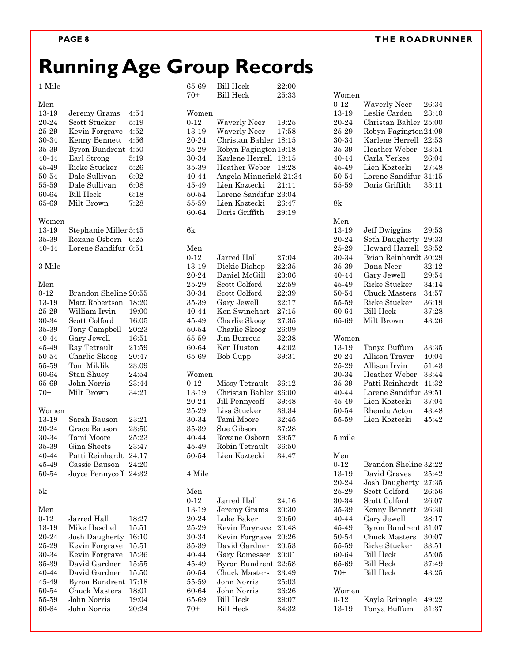# **Running Age Group Records**

1 Mile

| Men<br>13-19<br>20-24<br>25-29<br>30-34<br>35-39<br>40-44<br>45-49<br>50-54<br>55-59<br>60-64<br>65-69             | Jeremy Grams<br>Scott Stucker<br>Kevin Forgrave<br>Kenny Bennett<br><b>Byron Bundrent</b><br>Earl Strong<br>Ricke Stucker<br>Dale Sullivan<br>Dale Sullivan<br><b>Bill Heck</b><br>Milt Brown       | 4:54<br>5:19<br>4:52<br>4:56<br>4:50<br>5:19<br>5:26<br>6:02<br>6:08<br>6:18<br>7:28            |
|--------------------------------------------------------------------------------------------------------------------|-----------------------------------------------------------------------------------------------------------------------------------------------------------------------------------------------------|-------------------------------------------------------------------------------------------------|
| Women<br>13-19<br>35-39<br>40-44<br>3 Mile                                                                         | Stephanie Miller 5:45<br>Roxane Osborn<br>Lorene Sandifur 6:51                                                                                                                                      | 6:25                                                                                            |
| Men<br>$0 - 12$<br>13-19<br>25-29<br>30-34<br>35-39<br>40-44<br>45-49<br>50-54<br>55-59<br>60-64<br>65-69<br>$70+$ | Brandon Sheline 20:55<br>Matt Robertson<br>William Irvin<br>Scott Colford<br>Tony Campbell<br>Gary Jewell<br>Ray Tetrault<br>Charlie Skoog<br>Tom Miklik<br>Stan Shuey<br>John Norris<br>Milt Brown | 18:20<br>19:00<br>16:05<br>20:23<br>16:51<br>21:59<br>20:47<br>23:09<br>24:54<br>23:44<br>34:21 |
| Women<br>13-19<br>20-24<br>30-34<br>35-39<br>40-44<br>45-49<br>50-54                                               | Sarah Bauson<br>Grace Bauson<br>Tami Moore<br>Gina Sheets<br>Patti Reinhardt<br>Cassie Bauson<br>Joyce Pennycoff 24:32                                                                              | 23:21<br>23:50<br>25:23<br>23:47<br>24:17<br>24:20                                              |
| 5k<br>Men<br>$0 - 12$<br>13-19<br>20-24<br>25-29<br>30-34<br>35-39<br>40-44<br>45-49<br>50-54<br>55-59<br>60-64    | Jarred Hall<br>Mike Haschel<br>Josh Daugherty<br>Kevin Forgrave<br>Kevin Forgrave<br>David Gardner<br>David Gardner<br>Byron Bundrent<br><b>Chuck Masters</b><br>John Norris<br>John Norris         | 18:27<br>15:51<br>16:10<br>15:51<br>15:36<br>15:55<br>15:50<br>17:18<br>18:01<br>19:04<br>20:24 |

| 70+      | <b>Bill Heck</b>        | 25:33 |
|----------|-------------------------|-------|
| Women    |                         |       |
| $0 - 12$ | <b>Waverly Neer</b>     | 19:25 |
| 13-19    | <b>Waverly Neer</b>     | 17:58 |
| 20-24    | Christan Bahler 18:15   |       |
| 25-29    | Robyn Pagington 19:18   |       |
| 30-34    | Karlene Herrell         | 18:15 |
| 35-39    | Heather Weber           | 18:28 |
| 40-44    | Angela Minnefield 21:34 |       |
| 45-49    | Lien Koztecki           | 21:11 |
| 50-54    | Lorene Sandifur 23:04   |       |
| 55-59    | Lien Koztecki           | 26:47 |
| 60-64    | Doris Griffith          | 29:19 |
|          |                         |       |
| 6k       |                         |       |
| Men      |                         |       |
| $0 - 12$ | Jarred Hall             | 27:04 |
| 13-19    | Dickie Bishop           | 22:35 |
| 20-24    | Daniel McGill           | 23:06 |
| 25-29    | Scott Colford           | 22:59 |
| 30-34    | Scott Colford           | 22:39 |
| 35-39    | Gary Jewell             | 22:17 |
| 40-44    | Ken Swinehart           | 27:15 |
| 45-49    | Charlie Skoog           | 27:35 |
| 50-54    | Charlie Skoog           | 26:09 |
| 55-59    | Jim Burrous             | 32:38 |
| 60-64    | Ken Huston              | 42:02 |
| 65-69    | <b>Bob Cupp</b>         | 39:31 |
|          |                         |       |
| Women    |                         |       |
| $0 - 12$ | Missy Tetrault          | 36:12 |
| 13-19    | Christan Bahler         | 26:00 |
| 20-24    | Jill Pennycoff          | 39:48 |
| 25-29    | Lisa Stucker            | 39:34 |
| 30-34    | Tami Moore              | 32:45 |
| 35-39    | Sue Gibson              | 37:28 |
| 40-44    | Roxane Osborn           | 29:57 |
| 45-49    | Robin Tetrault          | 36:50 |
| 50-54    | Lien Koztecki           | 34:47 |
| 4 Mile   |                         |       |
| Men      |                         |       |
| $0 - 12$ | Jarred Hall             | 24:16 |
| 13-19    | Jeremy Grams            | 20:30 |
| 20-24    | Luke Baker              | 20:50 |
| 25-29    | Kevin Forgrave          | 20:48 |
| 30-34    | Kevin Forgrave          | 20:26 |
| 35-39    | David Gardner           | 20:53 |
| 40-44    | Gary Romesser           | 20:01 |
| 45-49    | <b>Byron Bundrent</b>   | 22:58 |
| 50-54    | <b>Chuck Masters</b>    | 23:49 |
|          | John Norris             |       |
| 55-59    |                         | 25:03 |
| 60-64    | John Norris             | 26:26 |
| 65-69    | <b>Bill Heck</b>        | 29:07 |
| $70+$    | <b>Bill Heck</b>        | 34:32 |

65-69 Bill Heck 22:00

| Women    |                       |       |
|----------|-----------------------|-------|
| $0 - 12$ | <b>Waverly Neer</b>   | 26:34 |
| 13-19    | Leslie Carden         | 23:40 |
| 20-24    | Christan Bahler       | 25:00 |
|          |                       |       |
| 25-29    | Robyn Pagington24:09  |       |
| 30-34    | Karlene Herrell       | 22:53 |
| 35-39    | Heather Weber         | 23:51 |
| 40-44    | Carla Yerkes          | 26:04 |
| 45-49    | Lien Koztecki         | 27:48 |
| 50-54    | Lorene Sandifur 31:15 |       |
| 55-59    | Doris Griffith        | 33:11 |
|          |                       |       |
| 8k       |                       |       |
|          |                       |       |
| Men      |                       |       |
| 13-19    | Jeff Dwiggins         | 29:53 |
| 20-24    | Seth Daugherty        | 29:33 |
| 25-29    | Howard Harrell        | 28:52 |
|          |                       |       |
| 30-34    | Brian Reinhardt       | 30:29 |
| 35-39    | Dana Neer             | 32:12 |
| 40-44    | Gary Jewell           | 29:54 |
| 45-49    | Ricke Stucker         | 34:14 |
| 50-54    | <b>Chuck Masters</b>  | 34:57 |
| 55-59    | Ricke Stucker         | 36:19 |
| 60-64    | <b>Bill Heck</b>      | 37:28 |
|          |                       |       |
| 65-69    | Milt Brown            | 43:26 |
| Women    |                       |       |
| 13-19    | Tonya Buffum          | 33:35 |
|          | Allison Traver        |       |
| 20-24    |                       | 40:04 |
| 25-29    | Allison Irvin         | 51:43 |
| 30-34    | Heather Weber         | 33:44 |
| 35-39    | Patti Reinhardt       | 41:32 |
| 40-44    | Lorene Sandifur       | 39:51 |
| 45-49    | Lien Koztecki         | 37:04 |
| 50-54    | Rhenda Acton          | 43:48 |
|          | Lien Koztecki         |       |
| 55-59    |                       | 45:42 |
| 5 mile   |                       |       |
|          |                       |       |
| Men      |                       |       |
| $0 - 12$ | Brandon Sheline 32:22 |       |
| 13-19    | David Graves          | 25:42 |
| 20-24    | <b>Josh Daugherty</b> | 27:35 |
| 25-29    | Scott Colford         | 26:56 |
|          | Scott Colford         | 26:07 |
| 30-34    |                       |       |
| 35-39    | Kenny Bennett         | 26:30 |
| 40-44    | Gary Jewell           | 28:17 |
| 45-49    | <b>Byron Bundrent</b> | 31:07 |
| 50-54    | <b>Chuck Masters</b>  | 30:07 |
| 55-59    | Ricke Stucker         | 33:51 |
| 60-64    | Bill Heck             |       |
|          |                       | 35:05 |
| 65-69    | <b>Bill Heck</b>      | 37:49 |
| $70+$    | <b>Bill Heck</b>      | 43:25 |
| Women    |                       |       |
|          |                       |       |
| $0 - 12$ | Kayla Reinagle        | 49:22 |
| 13-19    | Tonya Buffum          | 31:37 |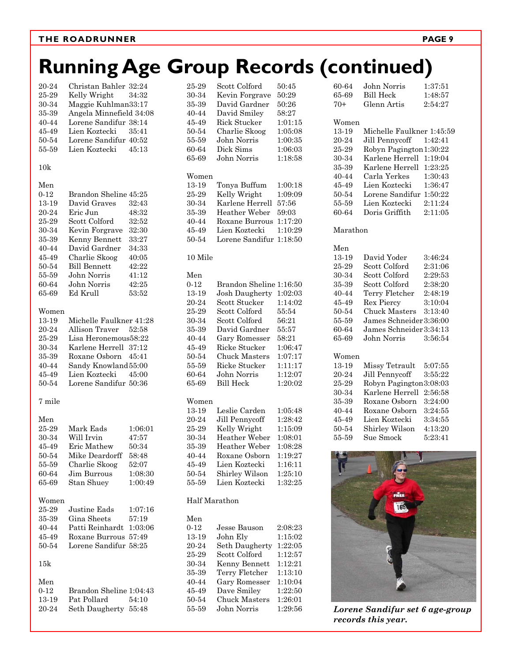#### **THE ROADRUNNER PAGE 9**

## **Running Age Group Records (continued)**

| 20-24<br>25-29<br>30-34<br>35-39<br>40-44<br>45-49<br>50-54<br>55-59                                          | Christan Bahler 32:24<br>Kelly Wright<br>Maggie Kuhlman33:17<br>Angela Minnefield 34:08<br>Lorene Sandifur 38:14<br>Lien Koztecki<br>Lorene Sandifur 40:52<br>Lien Koztecki                  | 34:32<br>35:41<br>45:13                                                                |
|---------------------------------------------------------------------------------------------------------------|----------------------------------------------------------------------------------------------------------------------------------------------------------------------------------------------|----------------------------------------------------------------------------------------|
| 10k                                                                                                           |                                                                                                                                                                                              |                                                                                        |
| Men<br>$0 - 12$<br>13-19<br>20-24<br>25-29<br>30-34<br>35-39<br>40-44<br>45-49<br>$50 - 54$<br>55-59<br>60-64 | Brandon Sheline 45:25<br>David Graves<br>Eric Jun<br>Scott Colford<br>Kevin Forgrave<br>Kenny Bennett<br>David Gardner<br>Charlie Skoog<br><b>Bill Bennett</b><br>John Norris<br>John Norris | 32:43<br>48:32<br>32:52<br>32:30<br>33:27<br>34:33<br>40:05<br>42:22<br>41:12<br>42:25 |
| 65-69<br>Women                                                                                                | Ed Krull                                                                                                                                                                                     | 53:52                                                                                  |
| 13-19<br>20-24<br>25-29<br>30-34<br>35-39<br>40-44<br>45-49<br>50-54                                          | Michelle Faulkner 41:28<br>Allison Traver<br>Lisa Heronemous58:22<br>Karlene Herrell 37:12<br>Roxane Osborn<br>Sandy Knowland 55:00<br>Lien Koztecki<br>Lorene Sandifur 50:36                | 52:58<br>45:41<br>45:00                                                                |
| 7 mile                                                                                                        |                                                                                                                                                                                              |                                                                                        |
| Men<br>25-29<br>30-34<br>45-49<br>50-54<br>55-59<br>60-64<br>65-69                                            | Mark Eads<br>Will Irvin<br>Eric Mathew<br>Mike Deardorff<br>Charlie Skoog<br>Jim Burrous<br>Stan Shuey                                                                                       | 1:06:01<br>47:57<br>50:34<br>58:48<br>52:07<br>1:08:30<br>1:00:49                      |
| Women<br>25-29<br>35-39<br>40-44<br>45-49<br>50-54                                                            | Justine Eads<br>Gina Sheets<br>Patti Reinhardt 1:03:06<br>Roxane Burrous 57:49<br>Lorene Sandifur 58:25                                                                                      | 1:07:16<br>57:19                                                                       |
| $15\mathrm{k}$                                                                                                |                                                                                                                                                                                              |                                                                                        |
| Men<br>$0 - 12$<br>13-19<br>20-24                                                                             | Brandon Sheline 1:04:43<br>Pat Pollard<br>Seth Daugherty 55:48                                                                                                                               | 54:10                                                                                  |

| 25-29         | Scott Colford          | 50:45   |
|---------------|------------------------|---------|
| 30-34         | Kevin Forgrave         | 50:29   |
| 35-39         | David Gardner          | 50:26   |
| 40-44         | David Smiley           | 58:27   |
| 45-49         | <b>Rick Stucker</b>    | 1:01:15 |
| 50-54         | Charlie Skoog          | 1:05:08 |
| 55-59         | John Norris            | 1:00:35 |
| 60-64         | Dick Sims              | 1:06:03 |
| 65-69         | John Norris            | 1:18:58 |
| Women         |                        |         |
| 13-19         | Tonya Buffum           | 1:00:18 |
| 25-29         | Kelly Wright           | 1:09:09 |
| 30-34         | Karlene Herrell        | 57:56   |
| 35-39         | Heather Weber          | 59:03   |
| 40-44         | Roxane Burrous         | 1:17:20 |
| 45-49         | Lien Koztecki          | 1:10:29 |
| 50-54         | Lorene Sandifur        | 1:18:50 |
|               |                        |         |
| 10 Mile       |                        |         |
| Men           |                        |         |
| $0 - 12$      | <b>Brandon Sheline</b> | 1:16:50 |
| 13-19         | Josh Daugherty         | 1:02:03 |
| 20-24         | Scott Stucker          | 1:14:02 |
| 25-29         | Scott Colford          | 55:54   |
| 30-34         | Scott Colford          | 56:21   |
| 35-39         | David Gardner          | 55:57   |
| 40-44         | Gary Romesser          | 58:21   |
| 45-49         | Ricke Stucker          | 1:06:47 |
| 50-54         | <b>Chuck Masters</b>   | 1:07:17 |
| 55-59         | Ricke Stucker          | 1:11:17 |
| 60-64         | John Norris            | 1:12:07 |
| 65-69         | <b>Bill Heck</b>       | 1:20:02 |
| Women         |                        |         |
| 13-19         | Leslie Carden          | 1:05:48 |
| 20-24         | Jill Pennycoff         | 1:28:42 |
| 25-29         | Kelly Wright           | 1:15:09 |
| 30-34         | Heather Weber          | 1:08:01 |
| 35-39         | Heather Weber          | 1:08:28 |
| 40-44         | Roxane Osborn          | 1:19:27 |
| 45-49         | Lien Koztecki          | 1:16:11 |
| $50 - 54$     | Shirley Wilson         | 1:25:10 |
| 55-59         | Lien Koztecki          | 1:32:25 |
| Half Marathon |                        |         |
| Men           |                        |         |
| $0 - 12$      | Jesse Bauson           | 2:08:23 |
| 13-19         | John Ely               | 1:15:02 |
| 20-24         | Seth Daugherty         | 1:22:05 |
| 25-29         | Scott Colford          | 1:12:57 |
| $30 - 34$     | Kenny Bennett          | 1:12:21 |
| $35-39$       | Terry Fletcher         | 1:13:10 |
|               |                        |         |

40-44 Gary Romesser 1:10:04 45-49 Dave Smiley 1:22:50 50-54 Chuck Masters 1:26:01 55-59 John Norris 1:29:56

#### Women 13-19 Michelle Faulkner 1:45:59 20-24 Jill Pennycoff 1:42:41 25-29 Robyn Pagington 1:30:22 30-34 Karlene Herrell 1:19:04 35-39 Karlene Herrell 1:23:25 40-44 Carla Yerkes 1:30:43 45-49 Lien Koztecki 1:36:47 50-54 Lorene Sandifur 1:50:22 55-59 Lien Koztecki 2:11:24 60-64 Doris Griffith 2:11:05 Marathon Men 13-19 David Yoder 3:46:24 25-29 Scott Colford 2:31:06 30-34 Scott Colford 2:29:53 35-39 Scott Colford 2:38:20 40-44 Terry Fletcher 2:48:19 45-49 Rex Piercy 3:10:04 50-54 Chuck Masters 3:13:40 55-59 James Schneider 3:36:00 60-64 James Schneider 3:34:13 65-69 John Norris 3:56:54 Women 13-19 Missy Tetrault 5:07:55 20-24 Jill Pennycoff 3:55:22 25-29 Robyn Pagington 3:08:03 30-34 Karlene Herrell 2:56:58 35-39 Roxane Osborn 3:24:00 40-44 Roxane Osborn 3:24:55 45-49 Lien Koztecki 3:34:55 50-54 Shirley Wilson 4:13:20 55-59 Sue Smock 5:23:41

60-64 John Norris 1:37:51 65-69 Bill Heck 1:48:57 70+ Glenn Artis 2:54:27



*Lorene Sandifur set 6 age-group records this year.*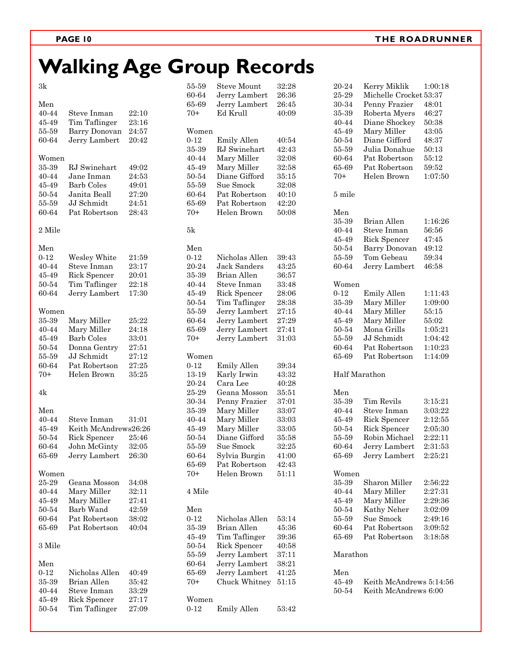# **Walking Age Group Records**

55-59 Steve Mount 32:28

3k

|          |                            |       | 60-64    | Jerry Lambert       | 26:36 |
|----------|----------------------------|-------|----------|---------------------|-------|
| Men      |                            |       | 65-69    | Jerry Lambert       | 26:45 |
| 40-44    | Steve Inman                | 22:10 | $70+$    | Ed Krull            | 40:09 |
| 45-49    | Tim Taflinger              | 23:16 |          |                     |       |
| 55-59    | Barry Donovan              | 24:57 | Women    |                     |       |
| 60-64    | Jerry Lambert              | 20:42 | $0 - 12$ | Emily Allen         | 40:54 |
|          |                            |       | 35-39    | RJ Swinehart        | 42:43 |
| Women    |                            |       | 40-44    | Mary Miller         | 32:08 |
| 35-39    | RJ Swinehart               | 49:02 | 45-49    | Mary Miller         | 32:58 |
| 40-44    | Jane Inman                 | 24:53 | 50-54    | Diane Gifford       | 35:15 |
| 45-49    | <b>Barb Coles</b>          | 49:01 | 55-59    | Sue Smock           | 32:08 |
| 50-54    | Janita Beall               | 27:20 | 60-64    | Pat Robertson       | 40:10 |
| 55-59    | JJ Schmidt                 | 24:51 | 65-69    | Pat Robertson       | 42:20 |
| 60-64    | Pat Robertson              | 28:43 | $70+$    | Helen Brown         | 50:08 |
|          |                            |       |          |                     |       |
| 2 Mile   |                            |       | 5k       |                     |       |
| Men      |                            |       | Men      |                     |       |
| $0 - 12$ | Wesley White               | 21:59 | $0 - 12$ | Nicholas Allen      | 39:43 |
| 40-44    | Steve Inman                | 23:17 | 20-24    | Jack Sanders        | 43:25 |
| 45-49    | Rick Spencer               | 20:01 | 35-39    | Brian Allen         | 36:57 |
| 50-54    | Tim Taflinger              | 22:18 | 40-44    | Steve Inman         | 33:48 |
| 60-64    | Jerry Lambert              | 17:30 | 45-49    | Rick Spencer        | 28:06 |
|          |                            |       | 50-54    | Tim Taflinger       | 28:38 |
| Women    |                            |       | 55-59    | Jerry Lambert       | 27:15 |
| 35-39    | Mary Miller                | 25:22 | 60-64    | Jerry Lambert       | 27:29 |
| 40-44    | Mary Miller                | 24:18 | 65-69    | Jerry Lambert       | 27:41 |
| 45-49    | Barb Coles                 | 33:01 | $70+$    | Jerry Lambert       | 31:03 |
|          |                            |       |          |                     |       |
| 50-54    | Donna Gentry<br>JJ Schmidt | 27:51 |          |                     |       |
| 55-59    |                            | 27:12 | Women    |                     |       |
| 60-64    | Pat Robertson              | 27:25 | $0 - 12$ | Emily Allen         | 39:34 |
| $70+$    | Helen Brown                | 35:25 | 13-19    | Karly Irwin         | 43:32 |
|          |                            |       | 20-24    | Cara Lee            | 40:28 |
| 4k       |                            |       | 25-29    | Geana Mosson        | 35:51 |
|          |                            |       | 30-34    | Penny Frazier       | 37:01 |
| Men      |                            |       | 35-39    | Mary Miller         | 33:07 |
| 40-44    | Steve Inman                | 31:01 | 40-44    | Mary Miller         | 33:03 |
| 45-49    | Keith McAndrews26:26       |       | 45-49    | Mary Miller         | 33:05 |
| 50-54    | Rick Spencer               | 25:46 | 50-54    | Diane Gifford       | 35:58 |
| 60-64    | John McGinty               | 32:05 | 55-59    | Sue Smock           | 32:25 |
| 65-69    | Jerry Lambert              | 26:30 | 60-64    | Sylvia Burgin       | 41:00 |
|          |                            |       | 65-69    | Pat Robertson       | 42:43 |
| Women    |                            |       | $70+$    | Helen Brown         | 51:11 |
| 25-29    | Geana Mosson               | 34:08 |          |                     |       |
| 40-44    | Mary Miller                | 32:11 | 4 Mile   |                     |       |
| 45-49    | Mary Miller                | 27:41 |          |                     |       |
| 50-54    | Barb Wand                  | 42:59 | Men      |                     |       |
| 60-64    | Pat Robertson              | 38:02 | $0 - 12$ | Nicholas Allen      | 53:14 |
| 65-69    | Pat Robertson              | 40:04 | 35-39    | Brian Allen         | 45:36 |
|          |                            |       | 45-49    | Tim Taflinger       | 39:36 |
| 3 Mile   |                            |       | 50-54    | <b>Rick Spencer</b> | 40:58 |
|          |                            |       | 55-59    | Jerry Lambert       | 37:11 |
| Men      |                            |       | 60-64    | Jerry Lambert       | 38:21 |
| $0 - 12$ | Nicholas Allen             | 40:49 | 65-69    | Jerry Lambert       | 41:25 |
| 35-39    | Brian Allen                | 35:42 | $70+$    | Chuck Whitney       | 51:15 |
| 40-44    | Steve Inman                | 33:29 |          |                     |       |
| 45-49    | Rick Spencer               | 27:17 | Women    |                     |       |
| 50-54    | Tim Taflinger              | 27:09 | $0 - 12$ | Emily Allen         | 53:42 |
|          |                            |       |          |                     |       |

| 20-24<br>25-29<br>30-34<br>35-39<br>40-44<br>45-49<br>50-54<br>55-59<br>60-64<br>65-69<br>$70+$ | Kerry Miklik<br>Michelle Crocket 53:37<br>Penny Frazier<br>Roberta Myers<br>Diane Shockey<br>Mary Miller<br>Diane Gifford<br>Julia Donahue<br>Pat Robertson<br>Pat Robertson<br>Helen Brown | 1:00:18<br>48:01<br>46:27<br>50:38<br>43:05<br>48:37<br>50:13<br>55:12<br>59:52<br>1:07:50 |
|-------------------------------------------------------------------------------------------------|---------------------------------------------------------------------------------------------------------------------------------------------------------------------------------------------|--------------------------------------------------------------------------------------------|
| 5 mile                                                                                          |                                                                                                                                                                                             |                                                                                            |
| Men<br>35-39<br>40-44<br>45-49<br>50-54<br>55-59                                                | <b>Brian Allen</b><br>Steve Inman<br>Rick Spencer<br><b>Barry Donovan</b><br>Tom Gebeau                                                                                                     | 1:16:26<br>56:56<br>47:45<br>49:12<br>59:34                                                |
| 60-64                                                                                           | Jerry Lambert                                                                                                                                                                               | 46:58                                                                                      |
| Women<br>$0 - 12$<br>35-39<br>40-44<br>45-49<br>50-54<br>55-59<br>60-64<br>65-69                | <b>Emily Allen</b><br>Mary Miller<br>Mary Miller<br>Mary Miller<br>Mona Grills<br>JJ Schmidt<br>Pat Robertson<br>Pat Robertson                                                              | 1:11:43<br>1:09:00<br>55:15<br>55:02<br>1:05:21<br>1:04:42<br>1:10:23<br>1:14:09           |
|                                                                                                 | Half Marathon                                                                                                                                                                               |                                                                                            |
| Men<br>35-39<br>40-44<br>45-49<br>50-54<br>55-59<br>60-64<br>65-69                              | Tim Revils<br>Steve Inman<br>Rick Spencer<br>Rick Spencer<br>Robin Michael<br>Jerry Lambert<br>Jerry Lambert                                                                                | 3:15:21<br>3:03:22<br>2:12:55<br>2:05:30<br>2:22:11<br>2:31:53<br>2:25:21                  |
| Women<br>35-39<br>40-44<br>45-49<br>50-54<br>55-59<br>60-64<br>65-69<br>Marathon                | Sharon Miller<br>Mary Miller<br>Mary Miller<br>Kathy Neher<br>Sue Smock<br>Pat Robertson<br>Pat Robertson                                                                                   | 2:56:22<br>2:27:31<br>2:29:36<br>3:02:09<br>2:49:16<br>3:09:52<br>3:18:58                  |
| Men<br>45-49<br>50-54                                                                           | Keith McAndrews 5:14:56<br>Keith McAndrews 6:00                                                                                                                                             |                                                                                            |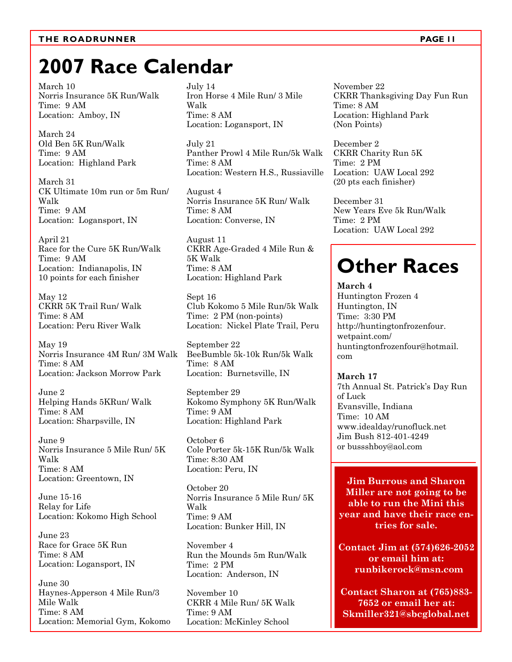#### THE ROADRUNNER **PAGE 11**

### **2007 Race Calendar**

March 10 Norris Insurance 5K Run/Walk Time: 9 AM Location: Amboy, IN

March 24 Old Ben 5K Run/Walk Time: 9 AM Location: Highland Park

March 31 CK Ultimate 10m run or 5m Run/ Walk Time: 9 AM Location: Logansport, IN

April 21 Race for the Cure 5K Run/Walk Time: 9 AM Location: Indianapolis, IN 10 points for each finisher

May 12 CKRR 5K Trail Run/ Walk Time: 8 AM Location: Peru River Walk

May 19 Norris Insurance 4M Run/ 3M Walk Time: 8 AM Location: Jackson Morrow Park

June 2 Helping Hands 5KRun/ Walk Time: 8 AM Location: Sharpsville, IN

June 9 Norris Insurance 5 Mile Run/ 5K Walk Time: 8 AM Location: Greentown, IN

June 15-16 Relay for Life Location: Kokomo High School

June 23 Race for Grace 5K Run Time: 8 AM Location: Logansport, IN

June 30 Haynes-Apperson 4 Mile Run/3 Mile Walk Time: 8 AM Location: Memorial Gym, Kokomo July 14 Iron Horse 4 Mile Run/ 3 Mile Walk Time: 8 AM Location: Logansport, IN

July 21 Panther Prowl 4 Mile Run/5k Walk Time: 8 AM Location: Western H.S., Russiaville

August 4 Norris Insurance 5K Run/ Walk Time: 8 AM Location: Converse, IN

August 11 CKRR Age-Graded 4 Mile Run & 5K Walk Time: 8 AM Location: Highland Park

Sept 16 Club Kokomo 5 Mile Run/5k Walk Time: 2 PM (non-points) Location: Nickel Plate Trail, Peru

September 22 BeeBumble 5k-10k Run/5k Walk Time: 8 AM Location: Burnetsville, IN

September 29 Kokomo Symphony 5K Run/Walk Time: 9 AM Location: Highland Park

October 6 Cole Porter 5k-15K Run/5k Walk Time: 8:30 AM Location: Peru, IN

October 20 Norris Insurance 5 Mile Run/ 5K Walk Time: 9 AM Location: Bunker Hill, IN

November 4 Run the Mounds 5m Run/Walk Time: 2 PM Location: Anderson, IN

November 10 CKRR 4 Mile Run/ 5K Walk Time: 9 AM Location: McKinley School

November 22 CKRR Thanksgiving Day Fun Run Time: 8 AM Location: Highland Park (Non Points)

December 2 CKRR Charity Run 5K Time: 2 PM Location: UAW Local 292 (20 pts each finisher)

December 31 New Years Eve 5k Run/Walk Time: 2 PM Location: UAW Local 292

## **Other Races**

**March 4**  Huntington Frozen 4 Huntington, IN Time: 3:30 PM http://huntingtonfrozenfour. wetpaint.com/ huntingtonfrozenfour@hotmail. com

**March 17**  7th Annual St. Patrick's Day Run of Luck Evansville, Indiana Time: 10 AM www.idealday/runofluck.net Jim Bush 812-401-4249 or bussshboy@aol.com

**Jim Burrous and Sharon Miller are not going to be able to run the Mini this year and have their race entries for sale.** 

**Contact Jim at (574)626-2052 or email him at: runbikerock@msn.com** 

**Contact Sharon at (765)883- 7652 or email her at: Skmiller321@sbcglobal.net**